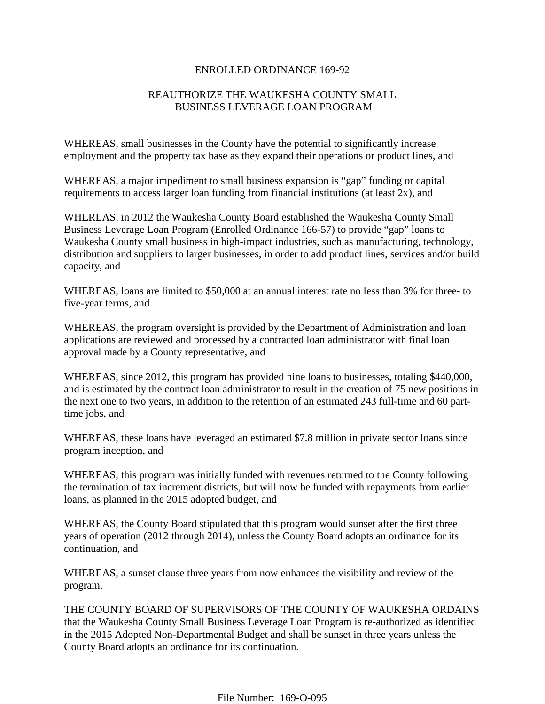#### ENROLLED ORDINANCE 169-92

# REAUTHORIZE THE WAUKESHA COUNTY SMALL BUSINESS LEVERAGE LOAN PROGRAM

WHEREAS, small businesses in the County have the potential to significantly increase employment and the property tax base as they expand their operations or product lines, and

WHEREAS, a major impediment to small business expansion is "gap" funding or capital requirements to access larger loan funding from financial institutions (at least 2x), and

WHEREAS, in 2012 the Waukesha County Board established the Waukesha County Small Business Leverage Loan Program (Enrolled Ordinance 166-57) to provide "gap" loans to Waukesha County small business in high-impact industries, such as manufacturing, technology, distribution and suppliers to larger businesses, in order to add product lines, services and/or build capacity, and

WHEREAS, loans are limited to \$50,000 at an annual interest rate no less than 3% for three- to five-year terms, and

WHEREAS, the program oversight is provided by the Department of Administration and loan applications are reviewed and processed by a contracted loan administrator with final loan approval made by a County representative, and

WHEREAS, since 2012, this program has provided nine loans to businesses, totaling \$440,000, and is estimated by the contract loan administrator to result in the creation of 75 new positions in the next one to two years, in addition to the retention of an estimated 243 full-time and 60 parttime jobs, and

WHEREAS, these loans have leveraged an estimated \$7.8 million in private sector loans since program inception, and

WHEREAS, this program was initially funded with revenues returned to the County following the termination of tax increment districts, but will now be funded with repayments from earlier loans, as planned in the 2015 adopted budget, and

WHEREAS, the County Board stipulated that this program would sunset after the first three years of operation (2012 through 2014), unless the County Board adopts an ordinance for its continuation, and

WHEREAS, a sunset clause three years from now enhances the visibility and review of the program.

THE COUNTY BOARD OF SUPERVISORS OF THE COUNTY OF WAUKESHA ORDAINS that the Waukesha County Small Business Leverage Loan Program is re-authorized as identified in the 2015 Adopted Non-Departmental Budget and shall be sunset in three years unless the County Board adopts an ordinance for its continuation.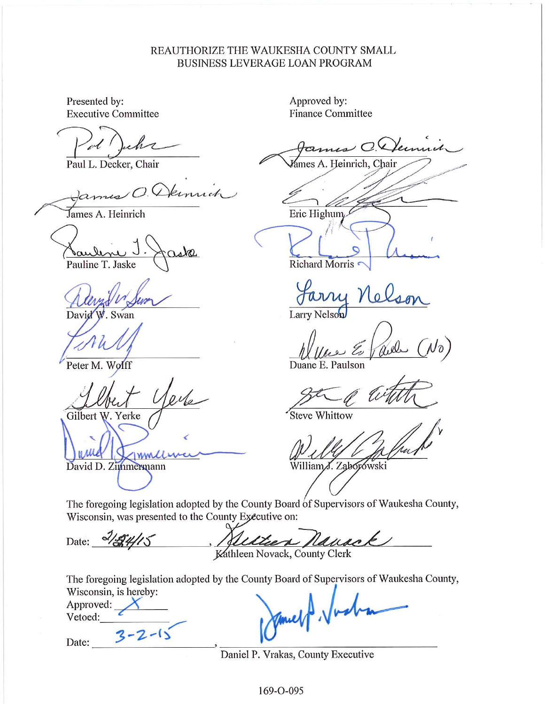## REAUTHORIZE THE WAUKESHA COUNTY SMALL **BUSINESS LEVERAGE LOAN PROGRAM**

Presented by: **Executive Committee** 

 $\overline{M}$ 

Paul L. Decker, Chair

James A. Heinrich

Pauline T. Jaske

David . Swan

Peter M. Wolff

Gilbert W. Yerke

**WW** 

David D. Zimmermann

Approved by: **Finance Committee** 

ames C. Jemmit

lámes A. Heinrich, Chair

Eric Highum

Richard Morris

Larry Nelson

 $J\mathfrak{d}$ 

Duane E. Paulson

Steve Whittow

William J. Zaborowski

The foregoing legislation adopted by the County Board of Supervisors of Waukesha County, Wisconsin, was presented to the County Executive on:

Date: 2/24/15 Lauro k Kathleen Novack, County Clerk

The foregoing legislation adopted by the County Board of Supervisors of Waukesha County, Wisconsin is horoby

| WISCONSIN, IS RELEVY.<br>Approved: |  |
|------------------------------------|--|
| Vetoed:                            |  |
|                                    |  |

Date:

Daniel P. Vrakas, County Executive

169-0-095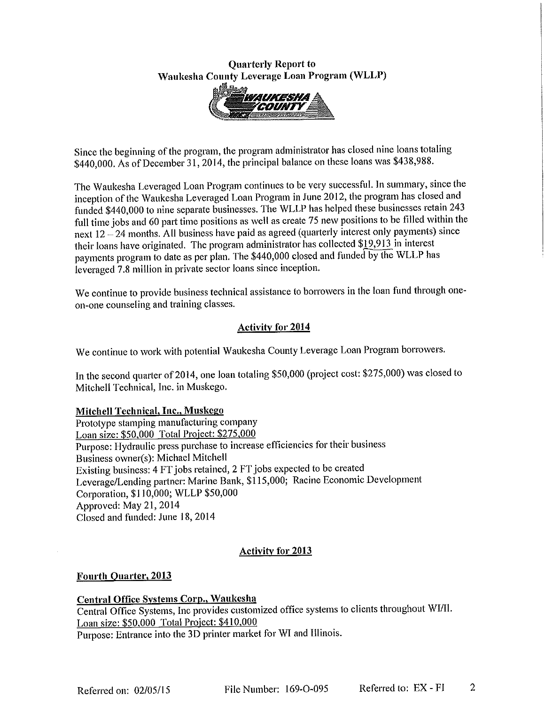## **Quarterly Report to** Waukesha County Leverage Loan Program (WLLP)



Since the beginning of the program, the program administrator has closed nine loans totaling \$440,000. As of December 31, 2014, the principal balance on these loans was \$438,988.

The Waukesha Leveraged Loan Program continues to be very successful. In summary, since the inception of the Waukesha Leveraged Loan Program in June 2012, the program has closed and funded \$440,000 to nine separate businesses. The WLLP has helped these businesses retain 243 full time jobs and 60 part time positions as well as create 75 new positions to be filled within the next 12 - 24 months. All business have paid as agreed (quarterly interest only payments) since their loans have originated. The program administrator has collected \$19,913 in interest payments program to date as per plan. The \$440,000 closed and funded by the WLLP has leveraged 7.8 million in private sector loans since inception.

We continue to provide business technical assistance to borrowers in the loan fund through oneon-one counseling and training classes.

## Activity for 2014

We continue to work with potential Waukesha County Leverage Loan Program borrowers.

In the second quarter of 2014, one loan totaling \$50,000 (project cost: \$275,000) was closed to Mitchell Technical, Inc. in Muskego.

### Mitchell Technical, Inc., Muskego

Prototype stamping manufacturing company Loan size: \$50,000 Total Project: \$275,000 Purpose: Hydraulic press purchase to increase efficiencies for their business Business owner(s): Michael Mitchell Existing business: 4 FT jobs retained, 2 FT jobs expected to be created Leverage/Lending partner: Marine Bank, \$115,000; Racine Economic Development Corporation, \$110,000; WLLP \$50,000 Approved: May 21, 2014 Closed and funded: June 18, 2014

### **Activity for 2013**

### **Fourth Quarter, 2013**

Central Office Systems Corp., Waukesha Central Office Systems, Inc provides customized office systems to clients throughout WI/II. Loan size: \$50,000 Total Project: \$410,000 Purpose: Entrance into the 3D printer market for WI and Illinois.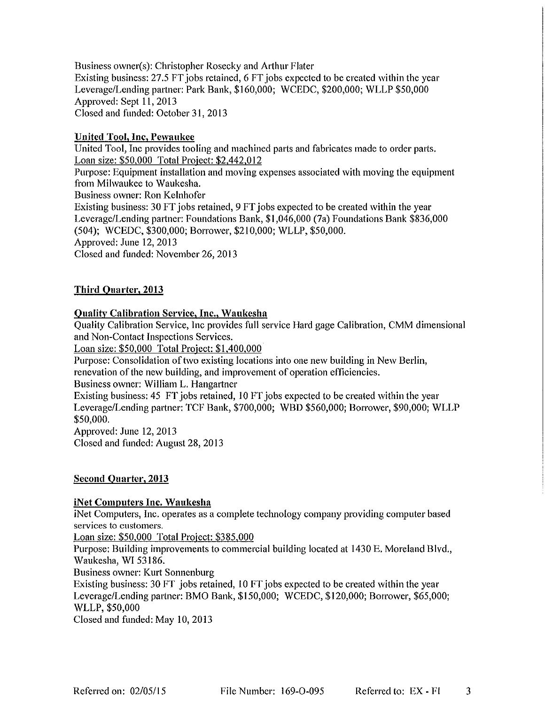Business owner(s): Christopher Rosecky and Arthur Flater Existing business: 27.5 FT jobs retained, 6 FT jobs expected to be created within the year Leverage/Lending partner: Park Bank, \$160,000; WCEDC, \$200,000; WLLP \$50,000 Approved: Sept 11, 2013 Closed and funded: October 31, 2013

### **United Tool, Inc, Pewaukee**

United Tool, Inc provides tooling and machined parts and fabricates made to order parts. Loan size: \$50,000 Total Project: \$2,442,012 Purpose: Equipment installation and moving expenses associated with moving the equipment from Milwaukee to Waukesha. Business owner: Ron Kelnhofer Existing business: 30 FT jobs retained, 9 FT jobs expected to be created within the year Leverage/Lending partner: Foundations Bank, \$1,046,000 (7a) Foundations Bank \$836,000 (504); WCEDC, \$300,000; Borrower, \$210,000; WLLP, \$50,000.

Approved: June 12, 2013

Closed and funded: November 26, 2013

### Third Quarter, 2013

#### **Quality Calibration Service, Inc., Waukesha**

Quality Calibration Service, Inc provides full service Hard gage Calibration, CMM dimensional and Non-Contact Inspections Services.

Loan size: \$50,000 Total Project: \$1,400,000

Purpose: Consolidation of two existing locations into one new building in New Berlin, renevation of the new building, and improvement of operation efficiencies.

Business owner: William L. Hangartner

Existing business: 45 FT jobs retained, 10 FT jobs expected to be created within the year Leverage/Lending partner: TCF Bank, \$700,000; WBD \$560,000; Borrower, \$90,000; WLLP \$50,000.

Approved: June 12, 2013 Closed and funded: August 28, 2013

### **Second Quarter, 2013**

#### iNet Computers Inc. Waukesha

iNet Computers, Inc. operates as a complete technology company providing computer based services to customers.

Loan size: \$50,000 Total Project: \$385,000

Purpose: Building improvements to commercial building located at 1430 E. Moreland Blvd., Waukesha, WI 53186.

Business owner: Kurt Sonnenburg

Existing business: 30 FT jobs retained, 10 FT jobs expected to be created within the year Leverage/Lending partner: BMO Bank, \$150,000; WCEDC, \$120,000; Borrower, \$65,000; WLLP, \$50,000

Closed and funded: May 10, 2013